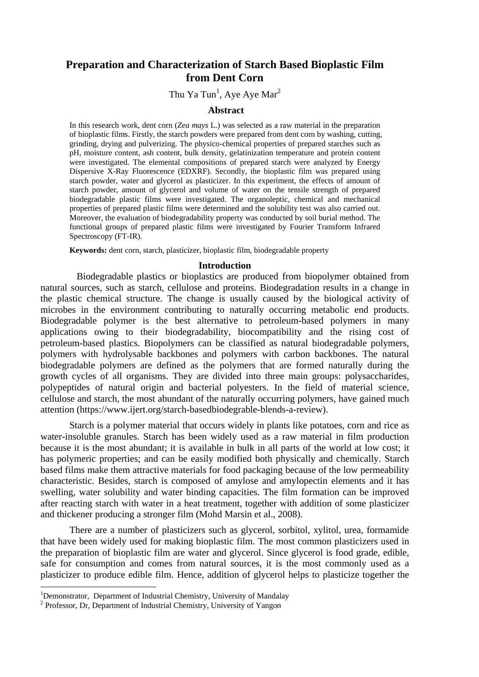# **Preparation and Characterization of Starch Based Bioplastic Film from Dent Corn**

# Thu Ya Tun<sup>1</sup>, Aye Aye Mar<sup>2</sup>

### **Abstract**

In this research work, dent corn (*Zea mays* L.) was selected as a raw material in the preparation of bioplastic films. Firstly, the starch powders were prepared from dent corn by washing, cutting, grinding, drying and pulverizing. The physico-chemical properties of prepared starches such as pH, moisture content, ash content, bulk density, gelatinization temperature and protein content were investigated. The elemental compositions of prepared starch were analyzed by Energy Dispersive X-Ray Fluorescence (EDXRF). Secondly, the bioplastic film was prepared using starch powder, water and glycerol as plasticizer. In this experiment, the effects of amount of starch powder, amount of glycerol and volume of water on the tensile strength of prepared biodegradable plastic films were investigated. The organoleptic, chemical and mechanical properties of prepared plastic films were determined and the solubility test was also carried out. Moreover, the evaluation of biodegradability property was conducted by soil burial method. The functional groups of prepared plastic films were investigated by Fourier Transform Infrared Spectroscopy (FT-IR).

**Keywords:** dent corn, starch, plasticizer, bioplastic film, biodegradable property

#### **Introduction**

 Biodegradable plastics or bioplastics are produced from biopolymer obtained from natural sources, such as starch, cellulose and proteins. Biodegradation results in a change in the plastic chemical structure. The change is usually caused by the biological activity of microbes in the environment contributing to naturally occurring metabolic end products. Biodegradable polymer is the best alternative to petroleum-based polymers in many applications owing to their biodegradability, biocompatibility and the rising cost of petroleum-based plastics. Biopolymers can be classified as natural biodegradable polymers, polymers with hydrolysable backbones and polymers with carbon backbones. The natural biodegradable polymers are defined as the polymers that are formed naturally during the growth cycles of all organisms. They are divided into three main groups: polysaccharides, polypeptides of natural origin and bacterial polyesters. In the field of material science, cellulose and starch, the most abundant of the naturally occurring polymers, have gained much attention (https://www.ijert.org/starch-basedbiodegrable-blends-a-review).

Starch is a polymer material that occurs widely in plants like potatoes, corn and rice as water-insoluble granules. Starch has been widely used as a raw material in film production because it is the most abundant; it is available in bulk in all parts of the world at low cost; it has polymeric properties; and can be easily modified both physically and chemically. Starch based films make them attractive materials for food packaging because of the low permeability characteristic. Besides, starch is composed of amylose and amylopectin elements and it has swelling, water solubility and water binding capacities. The film formation can be improved after reacting starch with water in a heat treatment, together with addition of some plasticizer and thickener producing a stronger film (Mohd Marsin et al., 2008).

There are a number of plasticizers such as glycerol, sorbitol, xylitol, urea, formamide that have been widely used for making bioplastic film. The most common plasticizers used in the preparation of bioplastic film are water and glycerol. Since glycerol is food grade, edible, safe for consumption and comes from natural sources, it is the most commonly used as a plasticizer to produce edible film. Hence, addition of glycerol helps to plasticize together the

 $\overline{a}$ 

<sup>&</sup>lt;sup>1</sup>Demonstrator, Department of Industrial Chemistry, University of Mandalay

<sup>&</sup>lt;sup>2</sup> Professor, Dr, Department of Industrial Chemistry, University of Yangon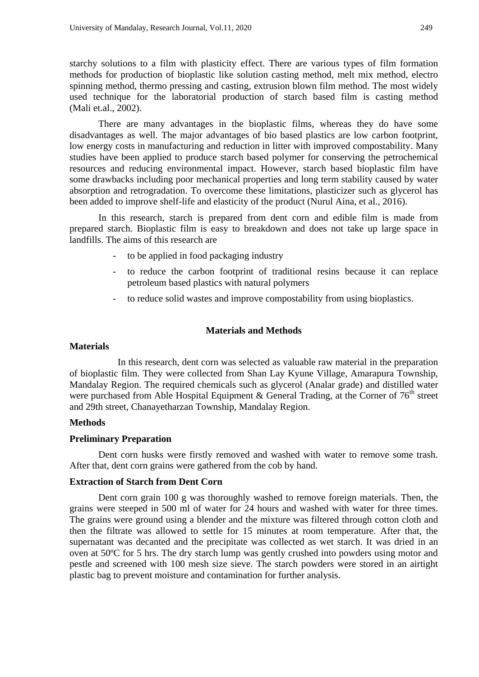starchy solutions to a film with plasticity effect. There are various types of film formation methods for production of bioplastic like solution casting method, melt mix method, electro spinning method, thermo pressing and casting, extrusion blown film method. The most widely used technique for the laboratorial production of starch based film is casting method (Mali et.al., 2002).

There are many advantages in the bioplastic films, whereas they do have some disadvantages as well. The major advantages of bio based plastics are low carbon footprint, low energy costs in manufacturing and reduction in litter with improved compostability. Many studies have been applied to produce starch based polymer for conserving the petrochemical resources and reducing environmental impact. However, starch based bioplastic film have some drawbacks including poor mechanical properties and long term stability caused by water absorption and retrogradation. To overcome these limitations, plasticizer such as glycerol has been added to improve shelf-life and elasticity of the product (Nurul Aina, et al., 2016).

In this research, starch is prepared from dent corn and edible film is made from prepared starch. Bioplastic film is easy to breakdown and does not take up large space in landfills. The aims of this research are

- to be applied in food packaging industry
- to reduce the carbon footprint of traditional resins because it can replace petroleum based plastics with natural polymers
- to reduce solid wastes and improve compostability from using bioplastics.

## **Materials and Methods**

### **Materials**

 In this research, dent corn was selected as valuable raw material in the preparation of bioplastic film. They were collected from Shan Lay Kyune Village, Amarapura Township, Mandalay Region. The required chemicals such as glycerol (Analar grade) and distilled water were purchased from Able Hospital Equipment & General Trading, at the Corner of  $76<sup>th</sup>$  street and 29th street, Chanayetharzan Township, Mandalay Region.

### **Methods**

### **Preliminary Preparation**

Dent corn husks were firstly removed and washed with water to remove some trash. After that, dent corn grains were gathered from the cob by hand.

### **Extraction of Starch from Dent Corn**

Dent corn grain 100 g was thoroughly washed to remove foreign materials. Then, the grains were steeped in 500 ml of water for 24 hours and washed with water for three times. The grains were ground using a blender and the mixture was filtered through cotton cloth and then the filtrate was allowed to settle for 15 minutes at room temperature. After that, the supernatant was decanted and the precipitate was collected as wet starch. It was dried in an oven at 50ºC for 5 hrs. The dry starch lump was gently crushed into powders using motor and pestle and screened with 100 mesh size sieve. The starch powders were stored in an airtight plastic bag to prevent moisture and contamination for further analysis.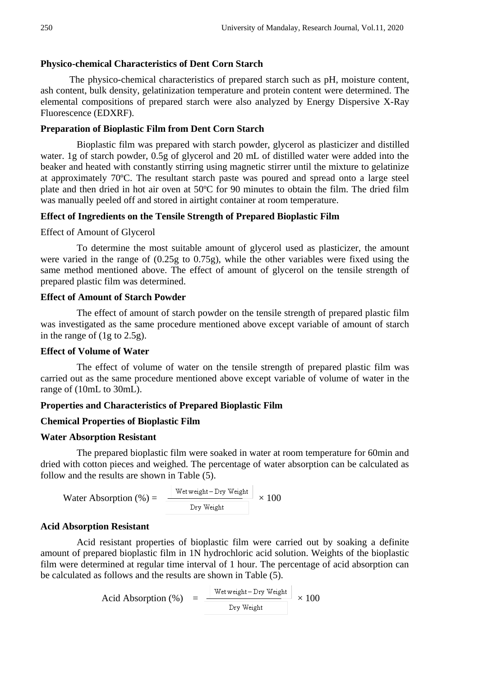## **Physico-chemical Characteristics of Dent Corn Starch**

The physico-chemical characteristics of prepared starch such as pH, moisture content, ash content, bulk density, gelatinization temperature and protein content were determined. The elemental compositions of prepared starch were also analyzed by Energy Dispersive X-Ray Fluorescence (EDXRF).

### **Preparation of Bioplastic Film from Dent Corn Starch**

Bioplastic film was prepared with starch powder, glycerol as plasticizer and distilled water. 1g of starch powder, 0.5g of glycerol and 20 mL of distilled water were added into the beaker and heated with constantly stirring using magnetic stirrer until the mixture to gelatinize at approximately 70ºC. The resultant starch paste was poured and spread onto a large steel plate and then dried in hot air oven at 50ºC for 90 minutes to obtain the film. The dried film was manually peeled off and stored in airtight container at room temperature.

## **Effect of Ingredients on the Tensile Strength of Prepared Bioplastic Film**

Effect of Amount of Glycerol

To determine the most suitable amount of glycerol used as plasticizer, the amount were varied in the range of (0.25g to 0.75g), while the other variables were fixed using the same method mentioned above. The effect of amount of glycerol on the tensile strength of prepared plastic film was determined.

### **Effect of Amount of Starch Powder**

The effect of amount of starch powder on the tensile strength of prepared plastic film was investigated as the same procedure mentioned above except variable of amount of starch in the range of (1g to 2.5g).

## **Effect of Volume of Water**

The effect of volume of water on the tensile strength of prepared plastic film was carried out as the same procedure mentioned above except variable of volume of water in the range of (10mL to 30mL).

## **Properties and Characteristics of Prepared Bioplastic Film**

## **Chemical Properties of Bioplastic Film**

### **Water Absorption Resistant**

The prepared bioplastic film were soaked in water at room temperature for 60min and dried with cotton pieces and weighed. The percentage of water absorption can be calculated as follow and the results are shown in Table (5).

Water Absorption (%) = 
$$
\frac{\text{Wet weight} - \text{Dry Weight}}{\text{Dry Weight}} \times 100
$$

## **Acid Absorption Resistant**

Acid resistant properties of bioplastic film were carried out by soaking a definite amount of prepared bioplastic film in 1N hydrochloric acid solution. Weights of the bioplastic film were determined at regular time interval of 1 hour. The percentage of acid absorption can be calculated as follows and the results are shown in Table (5).

Acid Absorption (%) =  $\frac{\text{Wet weight} - \text{Dry Weight}}{\text{Dry Weight}} \times 100$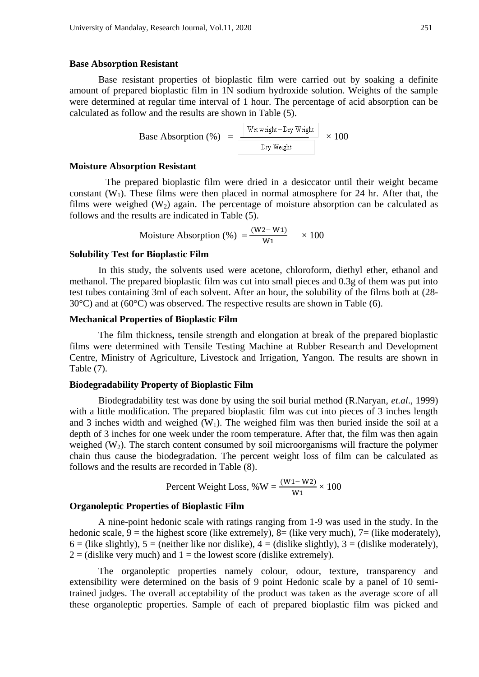#### **Base Absorption Resistant**

Base resistant properties of bioplastic film were carried out by soaking a definite amount of prepared bioplastic film in 1N sodium hydroxide solution. Weights of the sample were determined at regular time interval of 1 hour. The percentage of acid absorption can be calculated as follow and the results are shown in Table (5).

**Base Absorption** (%) = 
$$
\frac{\text{Wet weight} - \text{Dry Weight}}{\text{Dry Weight}} \times 100
$$

### **Moisture Absorption Resistant**

The prepared bioplastic film were dried in a desiccator until their weight became constant  $(W_1)$ . These films were then placed in normal atmosphere for 24 hr. After that, the films were weighed  $(W_2)$  again. The percentage of moisture absorption can be calculated as follows and the results are indicated in Table (5).

$$
Moisture Absorption (\%) = \frac{(W2-W1)}{W1} \times 100
$$

### **Solubility Test for Bioplastic Film**

In this study, the solvents used were acetone, chloroform, diethyl ether, ethanol and methanol. The prepared bioplastic film was cut into small pieces and 0.3g of them was put into test tubes containing 3ml of each solvent. After an hour, the solubility of the films both at (28-  $30^{\circ}$ C) and at (60 $^{\circ}$ C) was observed. The respective results are shown in Table (6).

#### **Mechanical Properties of Bioplastic Film**

The film thickness**,** tensile strength and elongation at break of the prepared bioplastic films were determined with Tensile Testing Machine at Rubber Research and Development Centre, Ministry of Agriculture, Livestock and Irrigation, Yangon. The results are shown in Table (7).

### **Biodegradability Property of Bioplastic Film**

Biodegradability test was done by using the soil burial method (R.Naryan, *et.al*., 1999) with a little modification. The prepared bioplastic film was cut into pieces of 3 inches length and 3 inches width and weighed  $(W_1)$ . The weighed film was then buried inside the soil at a depth of 3 inches for one week under the room temperature. After that, the film was then again weighed  $(W_2)$ . The starch content consumed by soil microorganisms will fracture the polymer chain thus cause the biodegradation. The percent weight loss of film can be calculated as follows and the results are recorded in Table (8).

Percent Weight Loss, %W = 
$$
\frac{(W1 - W2)}{W1} \times 100
$$

### **Organoleptic Properties of Bioplastic Film**

A nine-point hedonic scale with ratings ranging from 1-9 was used in the study. In the hedonic scale,  $9 =$  the highest score (like extremely),  $8 =$  (like very much),  $7 =$  (like moderately),  $6 =$  (like slightly),  $5 =$  (neither like nor dislike),  $4 =$  (dislike slightly),  $3 =$  (dislike moderately),  $2 = (diski)$  every much) and  $1 = the lowest score (diski)$  extremely).

The organoleptic properties namely colour, odour, texture, transparency and extensibility were determined on the basis of 9 point Hedonic scale by a panel of 10 semitrained judges. The overall acceptability of the product was taken as the average score of all these organoleptic properties. Sample of each of prepared bioplastic film was picked and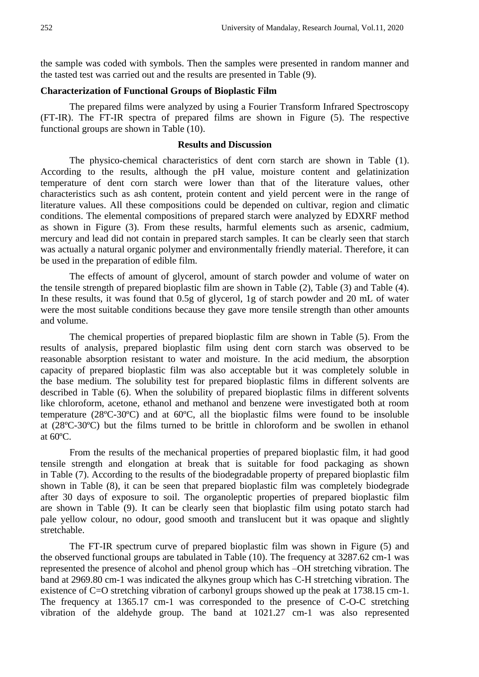the sample was coded with symbols. Then the samples were presented in random manner and the tasted test was carried out and the results are presented in Table (9).

### **Characterization of Functional Groups of Bioplastic Film**

The prepared films were analyzed by using a Fourier Transform Infrared Spectroscopy (FT-IR). The FT-IR spectra of prepared films are shown in Figure (5). The respective functional groups are shown in Table (10).

#### **Results and Discussion**

The physico-chemical characteristics of dent corn starch are shown in Table (1). According to the results, although the pH value, moisture content and gelatinization temperature of dent corn starch were lower than that of the literature values, other characteristics such as ash content, protein content and yield percent were in the range of literature values. All these compositions could be depended on cultivar, region and climatic conditions. The elemental compositions of prepared starch were analyzed by EDXRF method as shown in Figure (3). From these results, harmful elements such as arsenic, cadmium, mercury and lead did not contain in prepared starch samples. It can be clearly seen that starch was actually a natural organic polymer and environmentally friendly material. Therefore, it can be used in the preparation of edible film.

The effects of amount of glycerol, amount of starch powder and volume of water on the tensile strength of prepared bioplastic film are shown in Table (2), Table (3) and Table (4). In these results, it was found that 0.5g of glycerol, 1g of starch powder and 20 mL of water were the most suitable conditions because they gave more tensile strength than other amounts and volume.

The chemical properties of prepared bioplastic film are shown in Table (5). From the results of analysis, prepared bioplastic film using dent corn starch was observed to be reasonable absorption resistant to water and moisture. In the acid medium, the absorption capacity of prepared bioplastic film was also acceptable but it was completely soluble in the base medium. The solubility test for prepared bioplastic films in different solvents are described in Table (6). When the solubility of prepared bioplastic films in different solvents like chloroform, acetone, ethanol and methanol and benzene were investigated both at room temperature (28ºC-30ºC) and at 60ºC, all the bioplastic films were found to be insoluble at (28ºC-30ºC) but the films turned to be brittle in chloroform and be swollen in ethanol at 60ºC.

From the results of the mechanical properties of prepared bioplastic film, it had good tensile strength and elongation at break that is suitable for food packaging as shown in Table (7). According to the results of the biodegradable property of prepared bioplastic film shown in Table (8), it can be seen that prepared bioplastic film was completely biodegrade after 30 days of exposure to soil. The organoleptic properties of prepared bioplastic film are shown in Table (9). It can be clearly seen that bioplastic film using potato starch had pale yellow colour, no odour, good smooth and translucent but it was opaque and slightly stretchable.

The FT-IR spectrum curve of prepared bioplastic film was shown in Figure (5) and the observed functional groups are tabulated in Table (10). The frequency at 3287.62 cm-1 was represented the presence of alcohol and phenol group which has –OH stretching vibration. The band at 2969.80 cm-1 was indicated the alkynes group which has C-H stretching vibration. The existence of C=O stretching vibration of carbonyl groups showed up the peak at 1738.15 cm-1. The frequency at 1365.17 cm-1 was corresponded to the presence of C-O-C stretching vibration of the aldehyde group. The band at 1021.27 cm-1 was also represented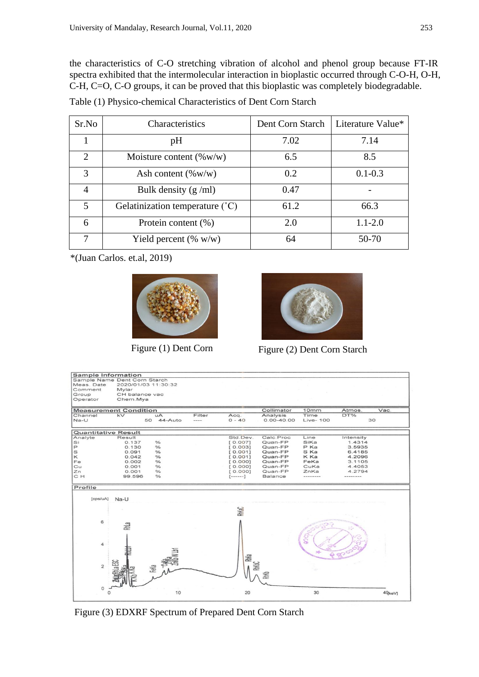the characteristics of C-O stretching vibration of alcohol and phenol group because FT-IR spectra exhibited that the intermolecular interaction in bioplastic occurred through C-O-H, O-H, C-H, C=O, C-O groups, it can be proved that this bioplastic was completely biodegradable.

Table (1) Physico-chemical Characteristics of Dent Corn Starch

| Sr.No                   | Characteristics                            | Dent Corn Starch | Literature Value* |
|-------------------------|--------------------------------------------|------------------|-------------------|
|                         | pH                                         | 7.02             | 7.14              |
| $\mathcal{D}$           | Moisture content $(\%w/w)$                 | 6.5              | 8.5               |
| $\mathcal{R}$           | Ash content $(\% w/w)$                     | 0.2              | $0.1 - 0.3$       |
|                         | Bulk density $(g/ml)$                      | 0.47             |                   |
| $\overline{\mathbf{5}}$ | Gelatinization temperature $({}^{\circ}C)$ | 61.2             | 66.3              |
| 6                       | Protein content (%)                        | 2.0              | $1.1 - 2.0$       |
|                         | Yield percent $(\% w/w)$                   | 64               | 50-70             |

\*(Juan Carlos. et.al, 2019)





Figure (1) Dent Corn Figure (2) Dent Corn Starch

| Sample Information                    |                |                       |        |                 |                |           |           |                    |
|---------------------------------------|----------------|-----------------------|--------|-----------------|----------------|-----------|-----------|--------------------|
| Sample Name Dent Corn Starch          |                |                       |        |                 |                |           |           |                    |
| Meas, Date                            |                | 2020/01/03 11:30:32   |        |                 |                |           |           |                    |
| Comment                               | Mylar          |                       |        |                 |                |           |           |                    |
| Group                                 | CH balance vac |                       |        |                 |                |           |           |                    |
| Operator                              | Chem.Mya       |                       |        |                 |                |           |           |                    |
|                                       |                |                       |        |                 |                |           |           |                    |
| <b>Measurement Condition</b>          |                |                       |        |                 | Collimator     | 10mm      | Atmos.    | Vac.               |
| Channel                               | kV             | $\mathbf{A}$          | Filter | Acq.            | Analysis       | Time      | DT%       |                    |
| $Na-U$                                |                | 50 44-Auto            | ----   | $0 - 40$        | $0.00 - 40.00$ | Live- 100 | 30        |                    |
|                                       |                |                       |        |                 |                |           |           |                    |
| <b>Quantitative Result</b><br>Analyte | Result         |                       |        | Std.Dev.        | Calc Proc      | Line      | Intensity |                    |
| Si                                    | 0.137          | $\frac{1}{2}$         |        | [0.007]         | Quan-FP        | SiKa      | 1.4314    |                    |
| $\mathsf{P}$                          | 0.130          | $\frac{\circ}{\circ}$ |        | [0.003]         | Quan-FP        | P Ka      | 3.5935    |                    |
| S                                     | 0.091          | $\frac{6}{6}$         |        | [0.001]         | Quan-FP        | S Ka      | 6.4185    |                    |
| $\kappa$                              | 0.042          | $\frac{6}{6}$         |        | [0.001]         | Quan-FP        | K Ka      | 4.2096    |                    |
| Fe                                    | 0.002          | $\frac{1}{6}$         |        | [0.000]         | Quan-FP        | FeKa      | 3.1105    |                    |
| Cu                                    | 0.001          | $\frac{1}{6}$         |        | [0.000]         | Quan-FP        | CuKa      | 4.4053    |                    |
| Zn                                    | 0.001          | $\frac{0}{\alpha}$    |        |                 | Quan-FP        | ZnKa      | 4.2794    |                    |
| C H                                   |                | $\frac{1}{2}$         |        | [0.000]         | <b>Balance</b> | --------  |           |                    |
|                                       | 99.596         |                       |        | $[- - - - - -]$ |                |           | -------   |                    |
| Profile                               |                |                       |        |                 |                |           |           |                    |
| [cps/uA]                              | Na-U           |                       |        |                 |                |           |           |                    |
|                                       |                |                       |        |                 |                |           |           |                    |
|                                       |                |                       |        | RhKaC           |                |           |           |                    |
|                                       |                |                       |        |                 |                |           |           |                    |
| 6                                     | RhLa           |                       |        |                 |                |           |           |                    |
|                                       |                |                       |        |                 |                |           |           |                    |
|                                       |                |                       |        |                 |                |           |           |                    |
|                                       |                |                       |        |                 |                | ெ         |           |                    |
| $\overline{4}$                        |                |                       |        |                 |                |           |           |                    |
|                                       |                |                       |        |                 |                |           |           |                    |
|                                       |                |                       |        |                 |                |           |           |                    |
|                                       |                |                       |        | RM <sub>a</sub> |                |           |           |                    |
|                                       | 353c           |                       |        |                 |                |           |           |                    |
| $\overline{2}$                        |                | FeKa                  |        |                 |                |           |           |                    |
|                                       |                |                       |        |                 |                |           |           |                    |
|                                       |                |                       |        |                 | 鬐              |           |           |                    |
|                                       |                |                       |        |                 |                |           |           |                    |
| $\circ$                               |                |                       |        |                 |                |           |           |                    |
| $\Omega$                              |                | 10                    |        | 20              |                | 30        |           | 40 <sub>ke</sub> v |
|                                       |                |                       |        |                 |                |           |           |                    |

Figure (3) EDXRF Spectrum of Prepared Dent Corn Starch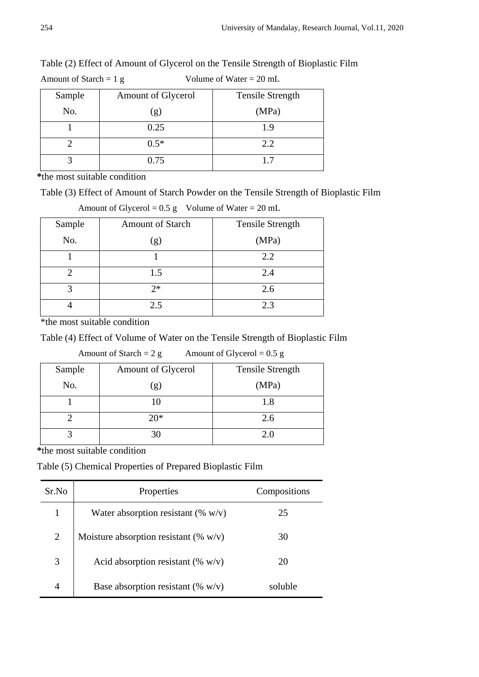| Amount of Starch = $1 g$ |                    | Volume of Water = $20$ mL |
|--------------------------|--------------------|---------------------------|
| Sample                   | Amount of Glycerol | <b>Tensile Strength</b>   |
| No.                      | (g)                | (MPa)                     |
|                          | 0.25               | 1.9                       |
|                          | $0.5*$             | 2.2                       |
|                          | 0.75               |                           |

Table (2) Effect of Amount of Glycerol on the Tensile Strength of Bioplastic Film

**\***the most suitable condition

Table (3) Effect of Amount of Starch Powder on the Tensile Strength of Bioplastic Film

|        | ຼ                       |                         |
|--------|-------------------------|-------------------------|
| Sample | <b>Amount of Starch</b> | <b>Tensile Strength</b> |
| No.    | (g)                     | (MPa)                   |
|        |                         | 2.2                     |
|        | 1.5                     | 2.4                     |
|        | $2*$                    | 2.6                     |
|        | 2.5                     | 2.3                     |

Amount of Glycerol =  $0.5 \text{ g}$  Volume of Water =  $20 \text{ mL}$ 

\*the most suitable condition

Table (4) Effect of Volume of Water on the Tensile Strength of Bioplastic Film

| Amount of Starch = $2 g$<br>Amount of Glycerol = $0.5$ g |                    |                  |  |  |
|----------------------------------------------------------|--------------------|------------------|--|--|
| Sample                                                   | Amount of Glycerol | Tensile Strength |  |  |
| No.                                                      | (g)                | (MPa)            |  |  |
|                                                          |                    | 1.8              |  |  |
|                                                          | $20*$              | 2.6              |  |  |
|                                                          | 30                 | 2.0              |  |  |

**\***the most suitable condition

Table (5) Chemical Properties of Prepared Bioplastic Film

| Sr.No          | Properties                               | Compositions |
|----------------|------------------------------------------|--------------|
| 1              | Water absorption resistant (% $w/v$ )    | 25           |
| $\overline{2}$ | Moisture absorption resistant (% $w/v$ ) | 30           |
|                | Acid absorption resistant (% $w/v$ )     | 20           |
|                | Base absorption resistant (% $w/v$ )     | soluble      |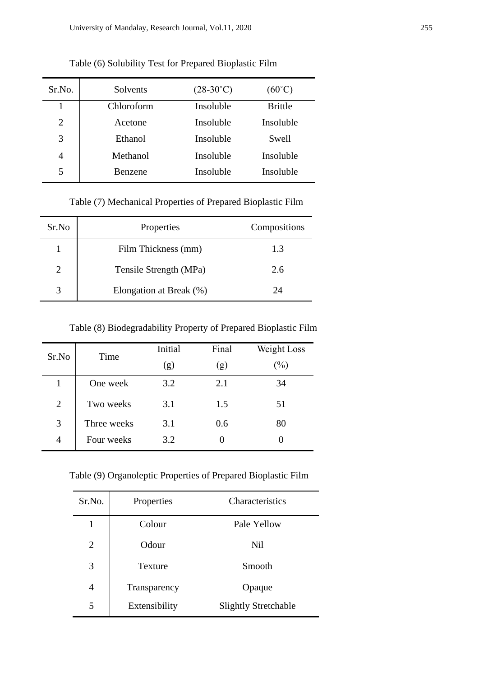| Sr.No.         | Solvents       | $(28-30^{\circ}C)$ | $(60^{\circ}C)$ |
|----------------|----------------|--------------------|-----------------|
|                | Chloroform     | Insoluble          | <b>Brittle</b>  |
| 2              | Acetone        | Insoluble          | Insoluble       |
| 3              | Ethanol        | Insoluble          | <b>Swell</b>    |
| $\overline{4}$ | Methanol       | Insoluble          | Insoluble       |
| 5              | <b>Benzene</b> | Insoluble          | Insoluble       |

Table (6) Solubility Test for Prepared Bioplastic Film

Table (7) Mechanical Properties of Prepared Bioplastic Film

| Sr.No | Properties              | Compositions |
|-------|-------------------------|--------------|
|       | Film Thickness (mm)     | 1.3          |
|       | Tensile Strength (MPa)  | 2.6          |
|       | Elongation at Break (%) | 24           |

Table (8) Biodegradability Property of Prepared Bioplastic Film

| Sr.No          | Time        | Initial | Final | Weight Loss |
|----------------|-------------|---------|-------|-------------|
|                |             | (g)     | (g)   | $(\%)$      |
| $\mathbf{1}$   | One week    | 3.2     | 2.1   | 34          |
| $\overline{2}$ | Two weeks   | 3.1     | 1.5   | 51          |
| 3              | Three weeks | 3.1     | 0.6   | 80          |
| $\overline{4}$ | Four weeks  | 3.2     |       |             |

Table (9) Organoleptic Properties of Prepared Bioplastic Film

| Sr.No.         | Properties    | Characteristics             |
|----------------|---------------|-----------------------------|
| 1              | Colour        | Pale Yellow                 |
| $\overline{2}$ | Odour         | <b>Nil</b>                  |
| 3              | Texture       | Smooth                      |
| 4              | Transparency  | Opaque                      |
| 5              | Extensibility | <b>Slightly Stretchable</b> |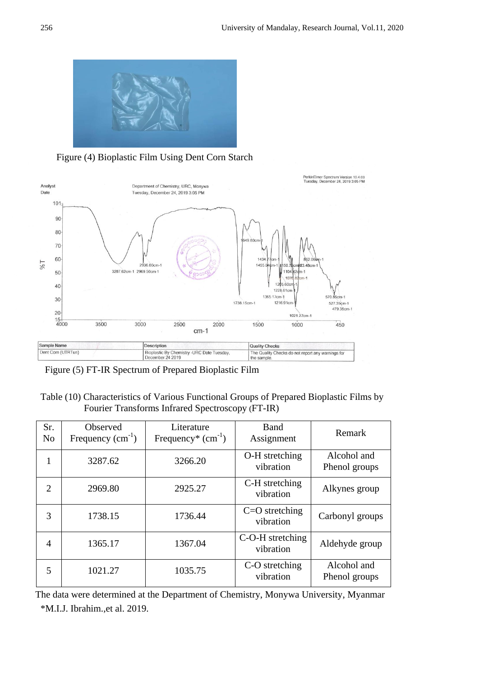

Figure (4) Bioplastic Film Using Dent Corn Starch



Figure (5) FT-IR Spectrum of Prepared Bioplastic Film

# Table (10) Characteristics of Various Functional Groups of Prepared Bioplastic Films by Fourier Transforms Infrared Spectroscopy (FT-IR)

| Sr.<br>N <sub>o</sub> | Observed<br>Frequency $(cm-1)$ | Literature<br>Frequency <sup>*</sup> $(cm-1)$ | Band<br>Assignment            | Remark                       |
|-----------------------|--------------------------------|-----------------------------------------------|-------------------------------|------------------------------|
| 1                     | 3287.62                        | 3266.20                                       | O-H stretching<br>vibration   | Alcohol and<br>Phenol groups |
| 2                     | 2969.80                        | 2925.27                                       | C-H stretching<br>vibration   | Alkynes group                |
| 3                     | 1738.15                        | 1736.44                                       | $C=O$ stretching<br>vibration | Carbonyl groups              |
| 4                     | 1365.17                        | 1367.04                                       | C-O-H stretching<br>vibration | Aldehyde group               |
| 5                     | 1021.27                        | 1035.75                                       | C-O stretching<br>vibration   | Alcohol and<br>Phenol groups |

\*M.I.J. Ibrahim.,et al. 2019. The data were determined at the Department of Chemistry, Monywa University, Myanmar